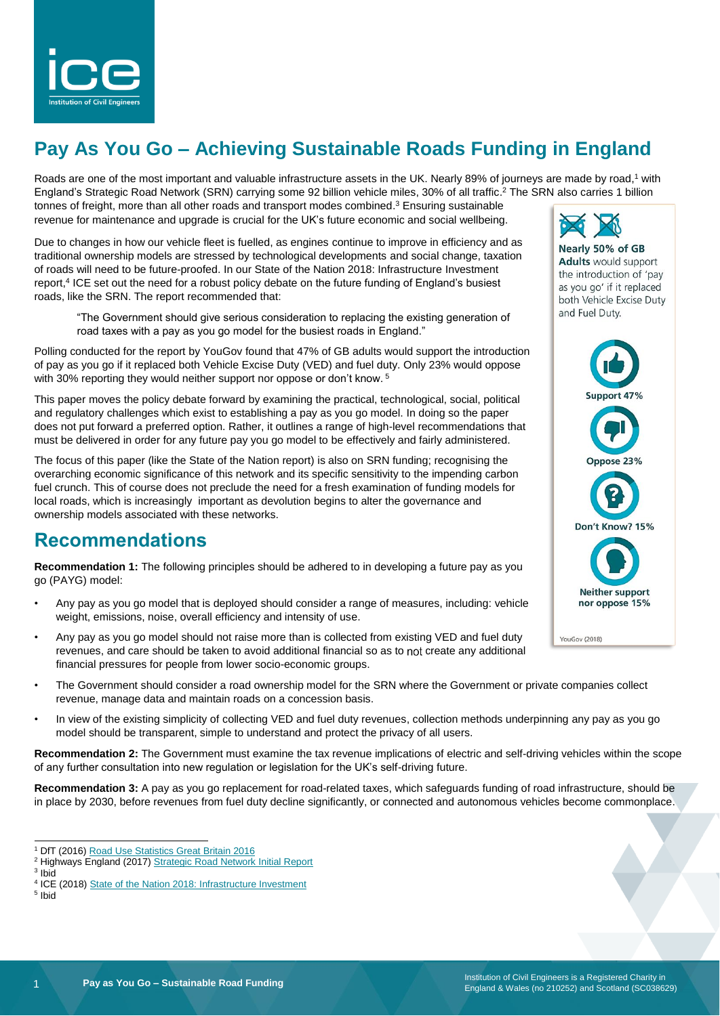

# **Pay As You Go – Achieving Sustainable Roads Funding in England**

Roads are one of the most important and valuable infrastructure assets in the UK. Nearly 89% of journeys are made by road,<sup>1</sup> with England's Strategic Road Network (SRN) carrying some 92 billion vehicle miles, 30% of all traffic. <sup>2</sup> The SRN also carries 1 billion tonnes of freight, more than all other roads and transport modes combined.<sup>3</sup> Ensuring sustainable revenue for maintenance and upgrade is crucial for the UK's future economic and social wellbeing.

Due to changes in how our vehicle fleet is fuelled, as engines continue to improve in efficiency and as traditional ownership models are stressed by technological developments and social change, taxation of roads will need to be future-proofed. In our State of the Nation 2018: Infrastructure Investment report, 4 ICE set out the need for a robust policy debate on the future funding of England's busiest roads, like the SRN. The report recommended that:

"The Government should give serious consideration to replacing the existing generation of road taxes with a pay as you go model for the busiest roads in England."

Polling conducted for the report by YouGov found that 47% of GB adults would support the introduction of pay as you go if it replaced both Vehicle Excise Duty (VED) and fuel duty. Only 23% would oppose with 30% reporting they would neither support nor oppose or don't know.<sup>5</sup>

This paper moves the policy debate forward by examining the practical, technological, social, political and regulatory challenges which exist to establishing a pay as you go model. In doing so the paper does not put forward a preferred option. Rather, it outlines a range of high-level recommendations that must be delivered in order for any future pay you go model to be effectively and fairly administered.

The focus of this paper (like the State of the Nation report) is also on SRN funding; recognising the overarching economic significance of this network and its specific sensitivity to the impending carbon fuel crunch. This of course does not preclude the need for a fresh examination of funding models for local roads, which is increasingly important as devolution begins to alter the governance and ownership models associated with these networks.

### **Recommendations**

**Recommendation 1:** The following principles should be adhered to in developing a future pay as you go (PAYG) model:

- Any pay as you go model that is deployed should consider a range of measures, including: vehicle weight, emissions, noise, overall efficiency and intensity of use.
- Any pay as you go model should not raise more than is collected from existing VED and fuel duty revenues, and care should be taken to avoid additional financial so as to not create any additional financial pressures for people from lower socio-economic groups.
- The Government should consider a road ownership model for the SRN where the Government or private companies collect revenue, manage data and maintain roads on a concession basis.
- In view of the existing simplicity of collecting VED and fuel duty revenues, collection methods underpinning any pay as you go model should be transparent, simple to understand and protect the privacy of all users.

**Recommendation 2:** The Government must examine the tax revenue implications of electric and self-driving vehicles within the scope of any further consultation into new regulation or legislation for the UK's self-driving future.

**Recommendation 3:** A pay as you go replacement for road-related taxes, which safeguards funding of road infrastructure, should be in place by 2030, before revenues from fuel duty decline significantly, or connected and autonomous vehicles become commonplace.

l

5 Ibid



Nearly 50% of GB **Adults** would support the introduction of 'pay as you go' if it replaced both Vehicle Excise Duty and Fuel Duty.



<sup>&</sup>lt;sup>1</sup> DfT (2016) [Road Use Statistics Great Britain 2016](https://assets.publishing.service.gov.uk/government/uploads/system/uploads/attachment_data/file/514912/road-use-statistics.pdf)

<sup>&</sup>lt;sup>2</sup> Highways England (2017) [Strategic Road Network Initial Report](https://assets.publishing.service.gov.uk/government/uploads/system/uploads/attachment_data/file/666857/Strategic_Road_Network_Initial_Report_Overview.pdf)

<sup>3</sup> Ibid

<sup>&</sup>lt;sup>4</sup> ICE (2018[\) State of the Nation 2018: Infrastructure Investment](https://www.ice.org.uk/getattachment/news-and-insight/policy/state-of-the-nation-2018-infrastructure-investment/ICE-SoN-Investment-2018.pdf.aspx#_ga=2.10367345.595456876.1549372505-2039761902.1517910772)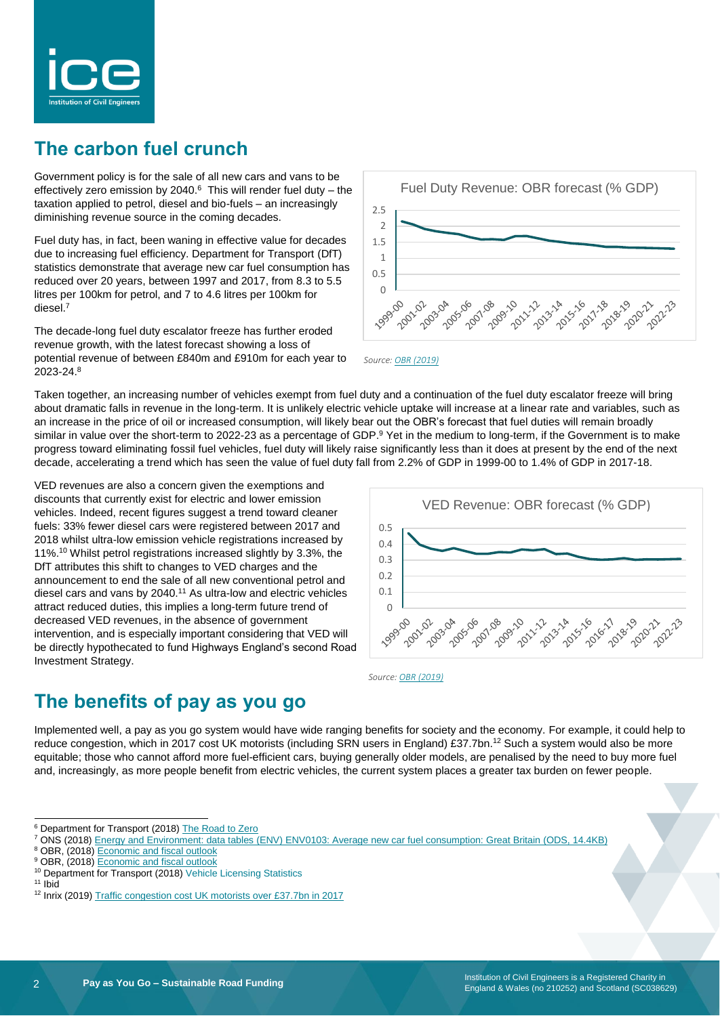

# **The carbon fuel crunch**

Government policy is for the sale of all new cars and vans to be effectively zero emission by 2040. $6$  This will render fuel duty – the taxation applied to petrol, diesel and bio-fuels – an increasingly diminishing revenue source in the coming decades.

Fuel duty has, in fact, been waning in effective value for decades due to increasing fuel efficiency. Department for Transport (DfT) statistics demonstrate that average new car fuel consumption has reduced over 20 years, between 1997 and 2017, from 8.3 to 5.5 litres per 100km for petrol, and 7 to 4.6 litres per 100km for diesel.<sup>7</sup>

The decade-long fuel duty escalator freeze has further eroded revenue growth, with the latest forecast showing a loss of potential revenue of between £840m and £910m for each year to 2023-24. 8





Taken together, an increasing number of vehicles exempt from fuel duty and a continuation of the fuel duty escalator freeze will bring about dramatic falls in revenue in the long-term. It is unlikely electric vehicle uptake will increase at a linear rate and variables, such as an increase in the price of oil or increased consumption, will likely bear out the OBR's forecast that fuel duties will remain broadly similar in value over the short-term to 2022-23 as a percentage of GDP.<sup>9</sup> Yet in the medium to long-term, if the Government is to make progress toward eliminating fossil fuel vehicles, fuel duty will likely raise significantly less than it does at present by the end of the next decade, accelerating a trend which has seen the value of fuel duty fall from 2.2% of GDP in 1999-00 to 1.4% of GDP in 2017-18.

VED revenues are also a concern given the exemptions and discounts that currently exist for electric and lower emission vehicles. Indeed, recent figures suggest a trend toward cleaner fuels: 33% fewer diesel cars were registered between 2017 and 2018 whilst ultra-low emission vehicle registrations increased by 11%. <sup>10</sup> Whilst petrol registrations increased slightly by 3.3%, the DfT attributes this shift to changes to VED charges and the announcement to end the sale of all new conventional petrol and diesel cars and vans by 2040.<sup>11</sup> As ultra-low and electric vehicles attract reduced duties, this implies a long-term future trend of decreased VED revenues, in the absence of government intervention, and is especially important considering that VED will be directly hypothecated to fund Highways England's second Road Investment Strategy.



*Source[: OBR \(2019\)](https://obr.uk/download/public-finances-databank/)*

# **The benefits of pay as you go**

Implemented well, a pay as you go system would have wide ranging benefits for society and the economy. For example, it could help to reduce congestion, which in 2017 cost UK motorists (including SRN users in England) £37.7bn.<sup>12</sup> Such a system would also be more equitable; those who cannot afford more fuel-efficient cars, buying generally older models, are penalised by the need to buy more fuel and, increasingly, as more people benefit from electric vehicles, the current system places a greater tax burden on fewer people.

l

<sup>&</sup>lt;sup>6</sup> Department for Transport (2018[\) The Road to Zero](https://assets.publishing.service.gov.uk/government/uploads/system/uploads/attachment_data/file/739460/road-to-zero.pdf)

<sup>7</sup> ONS (2018[\) Energy and Environment: data tables \(ENV\) ENV0103:](https://assets.publishing.service.gov.uk/government/uploads/system/uploads/attachment_data/file/761499/env0103.ods) Average new car fuel consumption: Great Britain (ODS, 14.4KB)

<sup>8</sup> OBR, (2018[\) Economic and fiscal outlook](https://cdn.obr.uk/EFO_October-2018.pdf)

<sup>&</sup>lt;sup>9</sup> OBR, (2018) **Economic and fiscal outlook** 

<sup>&</sup>lt;sup>10</sup> Department for Transport (2018[\) Vehicle Licensing Statistics](https://assets.publishing.service.gov.uk/government/uploads/system/uploads/attachment_data/file/729581/vehicle-licensing-statistics-january-to-march-2018.pdf)

<sup>&</sup>lt;sup>11</sup> Ibid

<sup>&</sup>lt;sup>12</sup> Inrix (2019) [Traffic congestion cost UK motorists over £37.7bn in 2017](http://inrix.com/press-releases/scorecard-2017-uk/)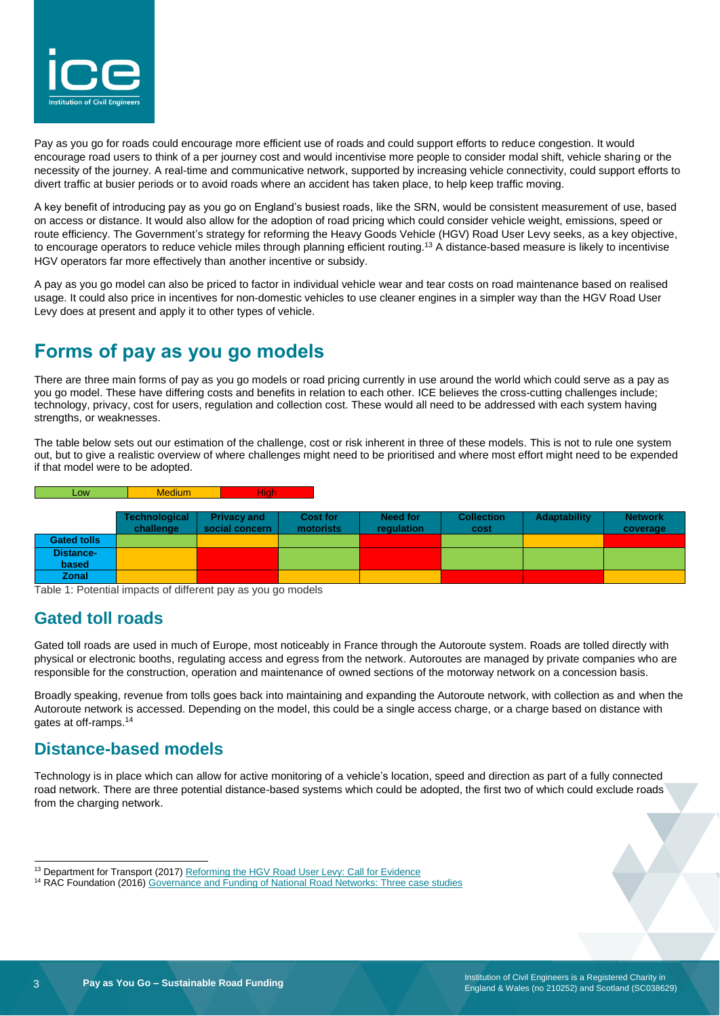

Pay as you go for roads could encourage more efficient use of roads and could support efforts to reduce congestion. It would encourage road users to think of a per journey cost and would incentivise more people to consider modal shift, vehicle sharing or the necessity of the journey. A real-time and communicative network, supported by increasing vehicle connectivity, could support efforts to divert traffic at busier periods or to avoid roads where an accident has taken place, to help keep traffic moving.

A key benefit of introducing pay as you go on England's busiest roads, like the SRN, would be consistent measurement of use, based on access or distance. It would also allow for the adoption of road pricing which could consider vehicle weight, emissions, speed or route efficiency. The Government's strategy for reforming the Heavy Goods Vehicle (HGV) Road User Levy seeks, as a key objective, to encourage operators to reduce vehicle miles through planning efficient routing.<sup>13</sup> A distance-based measure is likely to incentivise HGV operators far more effectively than another incentive or subsidy.

A pay as you go model can also be priced to factor in individual vehicle wear and tear costs on road maintenance based on realised usage. It could also price in incentives for non-domestic vehicles to use cleaner engines in a simpler way than the HGV Road User Levy does at present and apply it to other types of vehicle.

# **Forms of pay as you go models**

There are three main forms of pay as you go models or road pricing currently in use around the world which could serve as a pay as you go model. These have differing costs and benefits in relation to each other. ICE believes the cross-cutting challenges include; technology, privacy, cost for users, regulation and collection cost. These would all need to be addressed with each system having strengths, or weaknesses.

The table below sets out our estimation of the challenge, cost or risk inherent in three of these models. This is not to rule one system out, but to give a realistic overview of where challenges might need to be prioritised and where most effort might need to be expended if that model were to be adopted.

| Low <sub>1</sub>   | <b>Medium</b>        | <b>High</b>        |                 |            |                   |              |                |
|--------------------|----------------------|--------------------|-----------------|------------|-------------------|--------------|----------------|
|                    |                      |                    |                 |            |                   |              |                |
|                    | <b>Technological</b> | <b>Privacy and</b> | <b>Cost for</b> | Need for   | <b>Collection</b> | Adaptability | <b>Network</b> |
|                    | challenge            | social concern     | motorists       | requlation | cost              |              | coverage       |
| <b>Gated tolls</b> |                      |                    |                 |            |                   |              |                |
| <b>Distance-</b>   |                      |                    |                 |            |                   |              |                |
| based              |                      |                    |                 |            |                   |              |                |
| Zonal              |                      |                    |                 |            |                   |              |                |

Table 1: Potential impacts of different pay as you go models

### **Gated toll roads**

Gated toll roads are used in much of Europe, most noticeably in France through the Autoroute system. Roads are tolled directly with physical or electronic booths, regulating access and egress from the network. Autoroutes are managed by private companies who are responsible for the construction, operation and maintenance of owned sections of the motorway network on a concession basis.

Broadly speaking, revenue from tolls goes back into maintaining and expanding the Autoroute network, with collection as and when the Autoroute network is accessed. Depending on the model, this could be a single access charge, or a charge based on distance with gates at off-ramps.<sup>14</sup>

### **Distance-based models**

Technology is in place which can allow for active monitoring of a vehicle's location, speed and direction as part of a fully connected road network. There are three potential distance-based systems which could be adopted, the first two of which could exclude roads from the charging network.

l

<sup>&</sup>lt;sup>13</sup> Department for Transport (2017[\) Reforming the HGV Road User Levy: Call for Evidence](https://assets.publishing.service.gov.uk/government/uploads/system/uploads/attachment_data/file/661814/reforming-hgv-road-user-levy.pdf)

<sup>&</sup>lt;sup>14</sup> RAC Foundation (2016) [Governance and Funding of National Road Networks: Three case studies](https://www.racfoundation.org/wp-content/uploads/2017/11/Roads-Reform-An-International-Perspective-John-Smith-July-2016.pdf)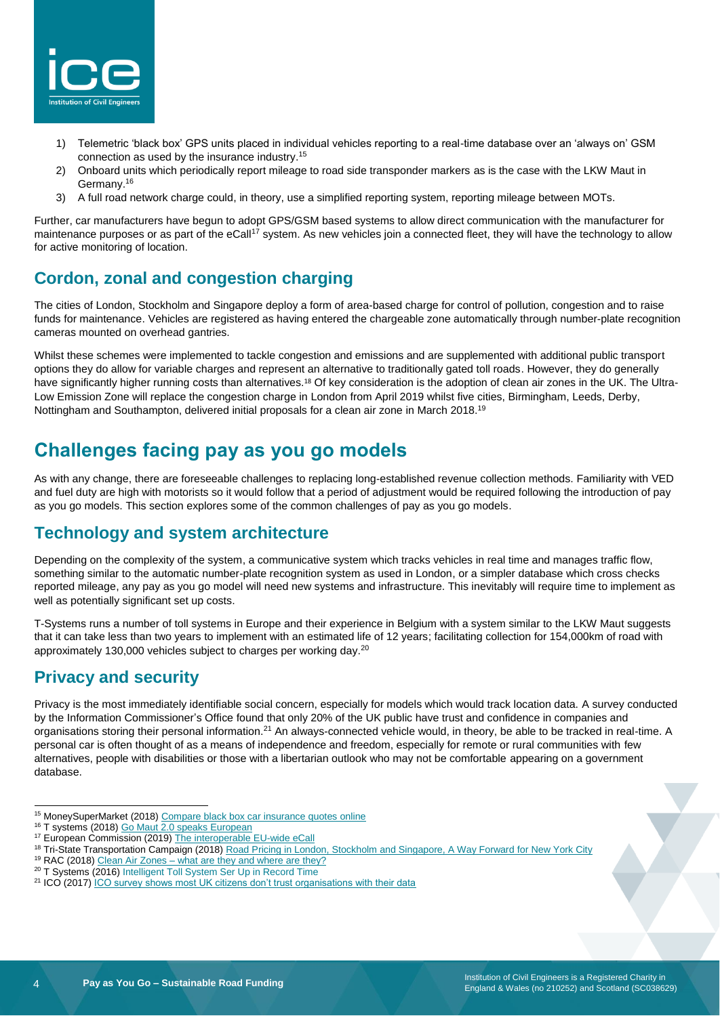

- 1) Telemetric 'black box' GPS units placed in individual vehicles reporting to a real-time database over an 'always on' GSM connection as used by the insurance industry. 15
- 2) Onboard units which periodically report mileage to road side transponder markers as is the case with the LKW Maut in Germany.<sup>16</sup>
- 3) A full road network charge could, in theory, use a simplified reporting system, reporting mileage between MOTs.

Further, car manufacturers have begun to adopt GPS/GSM based systems to allow direct communication with the manufacturer for maintenance purposes or as part of the eCall<sup>17</sup> system. As new vehicles join a connected fleet, they will have the technology to allow for active monitoring of location.

### **Cordon, zonal and congestion charging**

The cities of London, Stockholm and Singapore deploy a form of area-based charge for control of pollution, congestion and to raise funds for maintenance. Vehicles are registered as having entered the chargeable zone automatically through number-plate recognition cameras mounted on overhead gantries.

Whilst these schemes were implemented to tackle congestion and emissions and are supplemented with additional public transport options they do allow for variable charges and represent an alternative to traditionally gated toll roads. However, they do generally have significantly higher running costs than alternatives.<sup>18</sup> Of key consideration is the adoption of clean air zones in the UK. The Ultra-Low Emission Zone will replace the congestion charge in London from April 2019 whilst five cities, Birmingham, Leeds, Derby, Nottingham and Southampton, delivered initial proposals for a clean air zone in March 2018.<sup>19</sup>

# **Challenges facing pay as you go models**

As with any change, there are foreseeable challenges to replacing long-established revenue collection methods. Familiarity with VED and fuel duty are high with motorists so it would follow that a period of adjustment would be required following the introduction of pay as you go models. This section explores some of the common challenges of pay as you go models.

### **Technology and system architecture**

Depending on the complexity of the system, a communicative system which tracks vehicles in real time and manages traffic flow, something similar to the automatic number-plate recognition system as used in London, or a simpler database which cross checks reported mileage, any pay as you go model will need new systems and infrastructure. This inevitably will require time to implement as well as potentially significant set up costs.

T-Systems runs a number of toll systems in Europe and their experience in Belgium with a system similar to the LKW Maut suggests that it can take less than two years to implement with an estimated life of 12 years; facilitating collection for 154,000km of road with approximately 130,000 vehicles subject to charges per working day.<sup>20</sup>

### **Privacy and security**

Privacy is the most immediately identifiable social concern, especially for models which would track location data. A survey conducted by the Information Commissioner's Office found that only 20% of the UK public have trust and confidence in companies and organisations storing their personal information.<sup>21</sup> An always-connected vehicle would, in theory, be able to be tracked in real-time. A personal car is often thought of as a means of independence and freedom, especially for remote or rural communities with few alternatives, people with disabilities or those with a libertarian outlook who may not be comfortable appearing on a government database.

l <sup>15</sup> MoneySuperMarket (2018[\) Compare black box car insurance quotes online](https://www.moneysupermarket.com/car-insurance/telematics/)

- <sup>19</sup> RAC (2018) Clean Air Zones [what are they and where are they?](https://www.rac.co.uk/drive/advice/emissions/clean-air-zones/)
- <sup>20</sup> T Systems (2016) Intelligent Toll System Ser Up in Record Time

<sup>&</sup>lt;sup>16</sup> T systems (2018) [Go Maut 2.0 speaks European](https://www.t-systems.com/en/best-practice/02-2017/best-practices/asfinag/go-maut-677336)

<sup>&</sup>lt;sup>17</sup> European Commission (2019[\) The interoperable EU-wide eCall](https://ec.europa.eu/transport/themes/its/road/action_plan/ecall_en)

<sup>18</sup> Tri-State Transportation Campaign (2018) [Road Pricing in London, Stockholm and Singapore, A Way Forward for New York City](http://nyc.streetsblog.org/wp-content/uploads/2018/01/TSTC_A_Way_Forward_CPreport_1.4.18_medium.pdf)

<sup>&</sup>lt;sup>21</sup> ICO (2017) [ICO survey shows most UK citizens don't trust organisations with their data](https://ico.org.uk/about-the-ico/news-and-events/news-and-blogs/2017/11/ico-survey-shows-most-uk-citizens-don-t-trust-organisations-with-their-data/)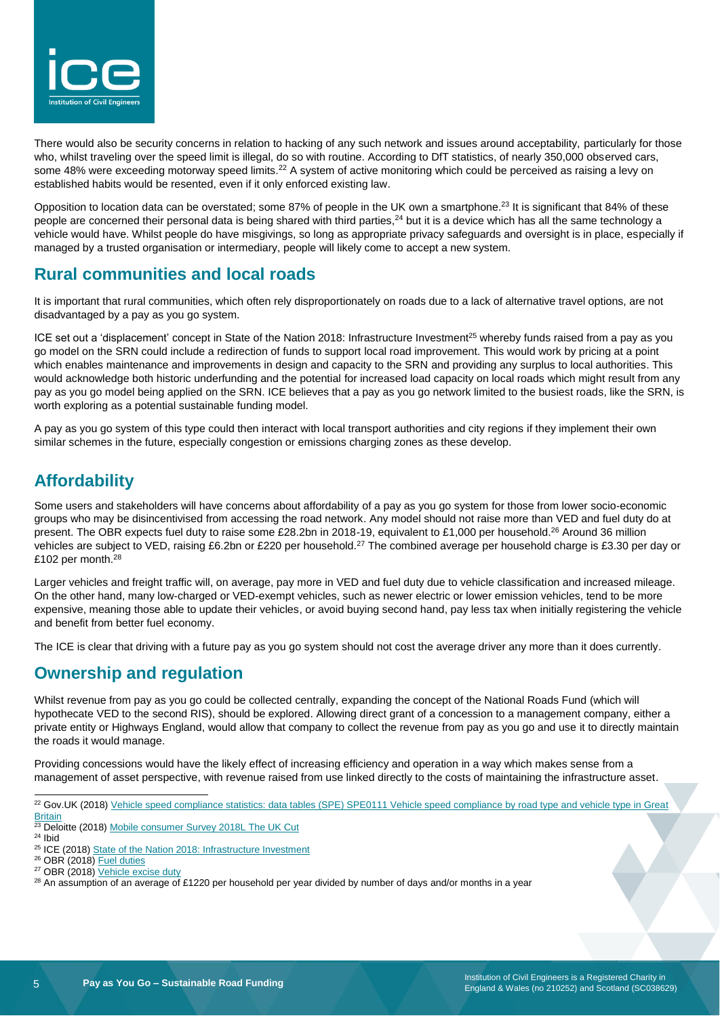

There would also be security concerns in relation to hacking of any such network and issues around acceptability, particularly for those who, whilst traveling over the speed limit is illegal, do so with routine. According to DfT statistics, of nearly 350,000 observed cars, some 48% were exceeding motorway speed limits.<sup>22</sup> A system of active monitoring which could be perceived as raising a levy on established habits would be resented, even if it only enforced existing law.

Opposition to location data can be overstated; some 87% of people in the UK own a smartphone.<sup>23</sup> It is significant that 84% of these people are concerned their personal data is being shared with third parties,<sup>24</sup> but it is a device which has all the same technology a vehicle would have. Whilst people do have misgivings, so long as appropriate privacy safeguards and oversight is in place, especially if managed by a trusted organisation or intermediary, people will likely come to accept a new system.

### **Rural communities and local roads**

It is important that rural communities, which often rely disproportionately on roads due to a lack of alternative travel options, are not disadvantaged by a pay as you go system.

ICE set out a 'displacement' concept in State of the Nation 2018: Infrastructure Investment<sup>25</sup> whereby funds raised from a pay as you go model on the SRN could include a redirection of funds to support local road improvement. This would work by pricing at a point which enables maintenance and improvements in design and capacity to the SRN and providing any surplus to local authorities. This would acknowledge both historic underfunding and the potential for increased load capacity on local roads which might result from any pay as you go model being applied on the SRN. ICE believes that a pay as you go network limited to the busiest roads, like the SRN, is worth exploring as a potential sustainable funding model.

A pay as you go system of this type could then interact with local transport authorities and city regions if they implement their own similar schemes in the future, especially congestion or emissions charging zones as these develop.

### **Affordability**

Some users and stakeholders will have concerns about affordability of a pay as you go system for those from lower socio-economic groups who may be disincentivised from accessing the road network. Any model should not raise more than VED and fuel duty do at present. The OBR expects fuel duty to raise some £28.2bn in 2018-19, equivalent to £1,000 per household.<sup>26</sup> Around 36 million vehicles are subject to VED, raising £6.2bn or £220 per household.<sup>27</sup> The combined average per household charge is £3.30 per day or £102 per month.<sup>28</sup>

Larger vehicles and freight traffic will, on average, pay more in VED and fuel duty due to vehicle classification and increased mileage. On the other hand, many low-charged or VED-exempt vehicles, such as newer electric or lower emission vehicles, tend to be more expensive, meaning those able to update their vehicles, or avoid buying second hand, pay less tax when initially registering the vehicle and benefit from better fuel economy.

The ICE is clear that driving with a future pay as you go system should not cost the average driver any more than it does currently.

### **Ownership and regulation**

Whilst revenue from pay as you go could be collected centrally, expanding the concept of the National Roads Fund (which will hypothecate VED to the second RIS), should be explored. Allowing direct grant of a concession to a management company, either a private entity or Highways England, would allow that company to collect the revenue from pay as you go and use it to directly maintain the roads it would manage.

Providing concessions would have the likely effect of increasing efficiency and operation in a way which makes sense from a management of asset perspective, with revenue raised from use linked directly to the costs of maintaining the infrastructure asset.

l <sup>22</sup> Gov.UK (2018) Vehicle speed compliance statistics: data tables (SPE) SPE0111 Vehicle speed compliance by road type and vehicle type in Great **[Britain](https://assets.publishing.service.gov.uk/government/uploads/system/uploads/attachment_data/file/748526/spe0111.ods)** 

<sup>&</sup>lt;sup>23</sup> Deloitte (2018) [Mobile consumer Survey 2018L The UK Cut](https://www2.deloitte.com/uk/en/pages/technology-media-and-telecommunications/articles/mobile-consumer-survey.html)

<sup>24</sup> Ibid

<sup>&</sup>lt;sup>25</sup> ICE (2018) [State of the Nation 2018: Infrastructure Investment](https://www.ice.org.uk/getattachment/news-and-insight/policy/state-of-the-nation-2018-infrastructure-investment/ICE-SoN-Investment-2018.pdf.aspx#_ga=2.10367345.595456876.1549372505-2039761902.1517910772)

 $26$  OBR (2018) [Fuel duties](https://obr.uk/forecasts-in-depth/tax-by-tax-spend-by-spend/fuel-duties/)

<sup>&</sup>lt;sup>27</sup> OBR (2018) [Vehicle excise duty](https://obr.uk/forecasts-in-depth/tax-by-tax-spend-by-spend/vehicle-excise-duty/)

<sup>&</sup>lt;sup>28</sup> An assumption of an average of £1220 per household per year divided by number of days and/or months in a year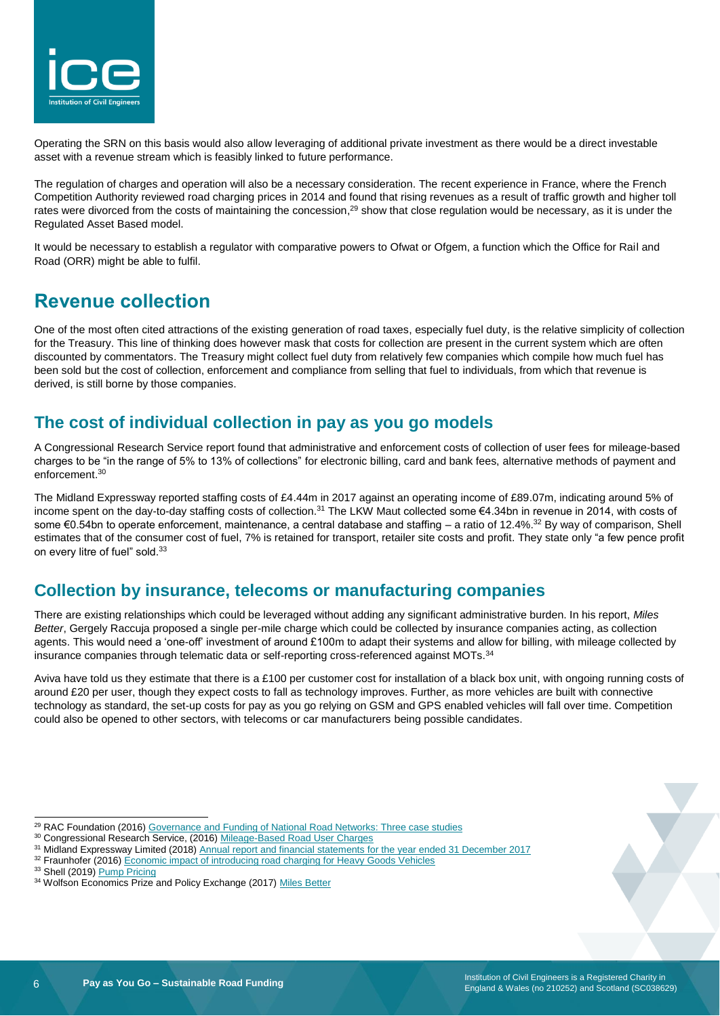

Operating the SRN on this basis would also allow leveraging of additional private investment as there would be a direct investable asset with a revenue stream which is feasibly linked to future performance.

The regulation of charges and operation will also be a necessary consideration. The recent experience in France, where the French Competition Authority reviewed road charging prices in 2014 and found that rising revenues as a result of traffic growth and higher toll rates were divorced from the costs of maintaining the concession,<sup>29</sup> show that close regulation would be necessary, as it is under the Regulated Asset Based model.

It would be necessary to establish a regulator with comparative powers to Ofwat or Ofgem, a function which the Office for Rail and Road (ORR) might be able to fulfil.

### **Revenue collection**

One of the most often cited attractions of the existing generation of road taxes, especially fuel duty, is the relative simplicity of collection for the Treasury. This line of thinking does however mask that costs for collection are present in the current system which are often discounted by commentators. The Treasury might collect fuel duty from relatively few companies which compile how much fuel has been sold but the cost of collection, enforcement and compliance from selling that fuel to individuals, from which that revenue is derived, is still borne by those companies.

### **The cost of individual collection in pay as you go models**

A Congressional Research Service report found that administrative and enforcement costs of collection of user fees for mileage-based charges to be "in the range of 5% to 13% of collections" for electronic billing, card and bank fees, alternative methods of payment and enforcement. 30

The Midland Expressway reported staffing costs of £4.44m in 2017 against an operating income of £89.07m, indicating around 5% of income spent on the day-to-day staffing costs of collection.<sup>31</sup> The LKW Maut collected some €4.34bn in revenue in 2014, with costs of some €0.54bn to operate enforcement, maintenance, a central database and staffing – a ratio of 12.4%.<sup>32</sup> By way of comparison, Shell estimates that of the consumer cost of fuel, 7% is retained for transport, retailer site costs and profit. They state only "a few pence profit on every litre of fuel" sold.<sup>33</sup>

### **Collection by insurance, telecoms or manufacturing companies**

There are existing relationships which could be leveraged without adding any significant administrative burden. In his report, *Miles Better*, Gergely Raccuja proposed a single per-mile charge which could be collected by insurance companies acting, as collection agents. This would need a 'one-off' investment of around £100m to adapt their systems and allow for billing, with mileage collected by insurance companies through telematic data or self-reporting cross-referenced against MOTs.<sup>34</sup>

Aviva have told us they estimate that there is a £100 per customer cost for installation of a black box unit, with ongoing running costs of around £20 per user, though they expect costs to fall as technology improves. Further, as more vehicles are built with connective technology as standard, the set-up costs for pay as you go relying on GSM and GPS enabled vehicles will fall over time. Competition could also be opened to other sectors, with telecoms or car manufacturers being possible candidates.

<sup>32</sup> Fraunhofer (2016) [Economic impact of introducing road charging for Heavy Goods Vehicles](https://www.transportenvironment.org/sites/te/files/publications/2017_04_road_tolls_report.pdf)

l

<sup>&</sup>lt;sup>29</sup> RAC Foundation (2016) [Governance and Funding of National Road Networks: Three case studies](https://www.racfoundation.org/assets/rac_foundation/content/downloadables/Roads_Reform_An_International_Perspective_John_Smith_July_2016_final.pdf)

<sup>30</sup> Congressional Research Service, (2016[\) Mileage-Based Road User Charges](https://fas.org/sgp/crs/misc/R44540.pdf)

<sup>&</sup>lt;sup>31</sup> Midland Expressway Limited (2018) [Annual report and financial statements for the year ended 31 December 2017](https://document-api-images-prod.s3.eu-west-1.amazonaws.com/docs/Tnw0ZpwOqYnXRivIb_bNNQktYzWW8Eyj_1SNNkAjQHA/application-pdf?X-Amz-Algorithm=AWS4-HMAC-SHA256&X-Amz-Content-Sha256=UNSIGNED-PAYLOAD&X-Amz-Credential=ASIAWRGBDBV3HMRX4ENS%2F20190129%2Feu-west-1%2Fs3%2Faws4_request&X-Amz-Date=20190129T165517Z&X-Amz-Expires=60&X-Amz-Security-Token=FQoGZXIvYXdzEBoaDGTuODdnJyMR2SxJ2iK3AwXJO2uufFoo4DCx62TYm7hmG8hlxoELDpsCWbG1UPkYRQDRUNuonmgHotZQ3Hgj2q%2BKw85Tt1I%2Bghe%2BgceHVpwW0rXOxNYpiKEwsoqlNQGItwHGgyce4Bc746Musk5RHWRxszZh5qND9PLxGwbQeT9nbODBnyA26geg%2BIeZeEMt%2FZr%2Bsbjc1vIJz%2BoDjXRHnA5D3z168q30o0%2B0x2BsHty%2BTsD%2BIDrV9xGT3zgDoNMP7L9Zg2bn3wsxQP417mnSb9iqEqm7sd8PB74cp0FiwjFa2qbFNfvGIO1XsrCQfbFy%2BuofeOZLDLjLE3eAR5pl1ZjqAPw936VJ2x4xVhV0MONwAxDHL48Uy1ncPV%2FOvVyOJo8AORVoOrJqPJWN5rfmTvlYMVfnP9ykqIVF7BWBUXdb4zf5KXyzk%2BjmOn%2BM9SIPhUeqVt1IppZpRnDlSh50c7eYGJ4S6ZviUMPDRbdGj%2F4sdbn%2FWDHqfqCEFzFoh%2B7UDfvvBhkkpcGlZ%2Bbh7YqDZDe8f%2B7J%2FOmEr26WvmQVnMiam9OmzMNYi98WKPnP1Vs6UV1dgqa5XLt3exeAJKoVJy%2Fnhyp3FOMojYPC4gU%3D&X-Amz-SignedHeaders=host&X-Amz-Signature=1dc66916579e58d927355a5824bf4f468a9c6d43f86ac5fa66198c822e89fc15)

<sup>33</sup> Shell (2019[\) Pump Pricing](https://www.shell.co.uk/motorist/shell-fuels/pump-pricing.html)

<sup>34</sup> Wolfson Economics Prize and Policy Exchange (2017) [Miles Better](https://policyexchange.org.uk/wp-content/uploads/2017/07/Gergely-Raccuja-Miles-Better-Revised-Submission.pdf)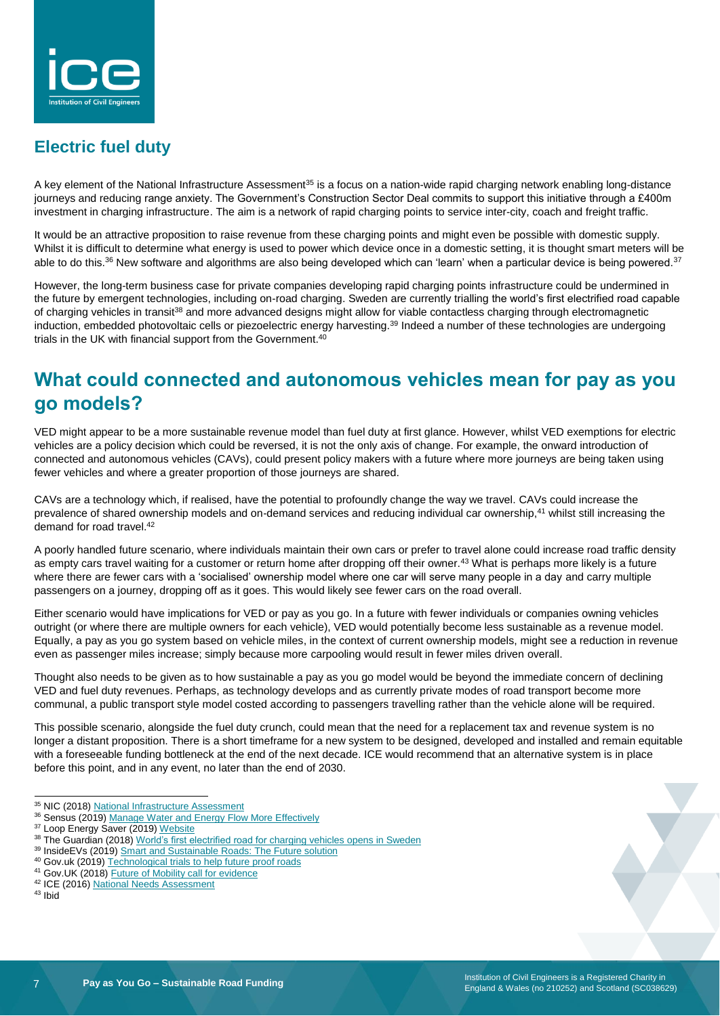

# **Electric fuel duty**

A key element of the National Infrastructure Assessment<sup>35</sup> is a focus on a nation-wide rapid charging network enabling long-distance journeys and reducing range anxiety. The Government's Construction Sector Deal commits to support this initiative through a £400m investment in charging infrastructure. The aim is a network of rapid charging points to service inter-city, coach and freight traffic.

It would be an attractive proposition to raise revenue from these charging points and might even be possible with domestic supply. Whilst it is difficult to determine what energy is used to power which device once in a domestic setting, it is thought smart meters will be able to do this. $^{36}$  New software and algorithms are also being developed which can 'learn' when a particular device is being powered.<sup>37</sup>

However, the long-term business case for private companies developing rapid charging points infrastructure could be undermined in the future by emergent technologies, including on-road charging. Sweden are currently trialling the world's first electrified road capable of charging vehicles in transit<sup>38</sup> and more advanced designs might allow for viable contactless charging through electromagnetic induction, embedded photovoltaic cells or piezoelectric energy harvesting.<sup>39</sup> Indeed a number of these technologies are undergoing trials in the UK with financial support from the Government.<sup>40</sup>

# **What could connected and autonomous vehicles mean for pay as you go models?**

VED might appear to be a more sustainable revenue model than fuel duty at first glance. However, whilst VED exemptions for electric vehicles are a policy decision which could be reversed, it is not the only axis of change. For example, the onward introduction of connected and autonomous vehicles (CAVs), could present policy makers with a future where more journeys are being taken using fewer vehicles and where a greater proportion of those journeys are shared.

CAVs are a technology which, if realised, have the potential to profoundly change the way we travel. CAVs could increase the prevalence of shared ownership models and on-demand services and reducing individual car ownership,<sup>41</sup> whilst still increasing the demand for road travel.<sup>42</sup>

A poorly handled future scenario, where individuals maintain their own cars or prefer to travel alone could increase road traffic density as empty cars travel waiting for a customer or return home after dropping off their owner.<sup>43</sup> What is perhaps more likely is a future where there are fewer cars with a 'socialised' ownership model where one car will serve many people in a day and carry multiple passengers on a journey, dropping off as it goes. This would likely see fewer cars on the road overall.

Either scenario would have implications for VED or pay as you go. In a future with fewer individuals or companies owning vehicles outright (or where there are multiple owners for each vehicle), VED would potentially become less sustainable as a revenue model. Equally, a pay as you go system based on vehicle miles, in the context of current ownership models, might see a reduction in revenue even as passenger miles increase; simply because more carpooling would result in fewer miles driven overall.

Thought also needs to be given as to how sustainable a pay as you go model would be beyond the immediate concern of declining VED and fuel duty revenues. Perhaps, as technology develops and as currently private modes of road transport become more communal, a public transport style model costed according to passengers travelling rather than the vehicle alone will be required.

This possible scenario, alongside the fuel duty crunch, could mean that the need for a replacement tax and revenue system is no longer a distant proposition. There is a short timeframe for a new system to be designed, developed and installed and remain equitable with a foreseeable funding bottleneck at the end of the next decade. ICE would recommend that an alternative system is in place before this point, and in any event, no later than the end of 2030.

l <sup>35</sup> NIC (2018[\) National Infrastructure Assessment](https://www.nic.org.uk/wp-content/uploads/CCS001_CCS0618917350-001_NIC-NIA_Accessible.pdf)

<sup>&</sup>lt;sup>36</sup> Sensus (2019[\) Manage Water and Energy Flow More Effectively](https://sensus.com/solutions/consumption/)

<sup>&</sup>lt;sup>37</sup> Loop Energy Saver (2019[\) Website](https://www.loopenergysaver.com/)

<sup>&</sup>lt;sup>38</sup> The Guardian (2018) World's first electrified road for [charging vehicles opens in Sweden](https://www.theguardian.com/environment/2018/apr/12/worlds-first-electrified-road-for-charging-vehicles-opens-in-sweden)

<sup>&</sup>lt;sup>39</sup> InsideEVs (2019[\) Smart and Sustainable Roads: The Future solution](https://insideevs.com/smart-sustainable-roads-future-solution/)

<sup>40</sup> Gov.uk (2019) [Technological trials to help future proof roads](https://www.gov.uk/government/news/technological-trials-to-help-future-proof-roads)

<sup>41</sup> Gov.UK (2018[\) Future of Mobility call for evidence](https://www.gov.uk/government/consultations/future-of-mobility-call-for-evidence/future-of-mobility-call-for-evidence)

<sup>42</sup> ICE (2016) [National Needs Assessment](https://www.ice.org.uk/getattachment/news-and-insight/policy/national-needs-assessment-a-vision-for-uk-infrastr/National-Needs-Assessment-PDF-(1).pdf.aspx#_ga=2.134691761.1372101486.1550507606-2039761902.1517910772)

<sup>43</sup> Ibid